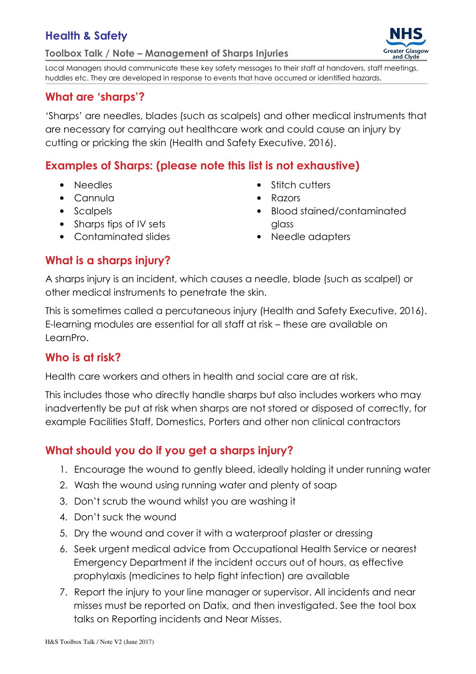## Health & Safety

Toolbox Talk / Note – Management of Sharps Injuries



Local Managers should communicate these key safety messages to their staff at handovers, staff meetings, huddles etc. They are developed in response to events that have occurred or identified hazards.

#### What are 'sharps'?

'Sharps' are needles, blades (such as scalpels) and other medical instruments that are necessary for carrying out healthcare work and could cause an injury by cutting or pricking the skin (Health and Safety Executive, 2016).

#### Examples of Sharps: (please note this list is not exhaustive)

- Needles
- Cannula
- Scalpels
- Sharps tips of IV sets
- Contaminated slides
- Stitch cutters
- Razors
- Blood stained/contaminated glass
- Needle adapters

## What is a sharps injury?

A sharps injury is an incident, which causes a needle, blade (such as scalpel) or other medical instruments to penetrate the skin.

This is sometimes called a percutaneous injury (Health and Safety Executive, 2016). E-learning modules are essential for all staff at risk – these are available on LearnPro.

#### Who is at risk?

Health care workers and others in health and social care are at risk.

This includes those who directly handle sharps but also includes workers who may inadvertently be put at risk when sharps are not stored or disposed of correctly, for example Facilities Staff, Domestics, Porters and other non clinical contractors

# What should you do if you get a sharps injury?

- 1. Encourage the wound to gently bleed, ideally holding it under running water
- 2. Wash the wound using running water and plenty of soap
- 3. Don't scrub the wound whilst you are washing it
- 4. Don't suck the wound
- 5. Dry the wound and cover it with a waterproof plaster or dressing
- 6. Seek urgent medical advice from Occupational Health Service or nearest Emergency Department if the incident occurs out of hours, as effective prophylaxis (medicines to help fight infection) are available
- 7. Report the injury to your line manager or supervisor. All incidents and near misses must be reported on Datix, and then investigated. See the tool box talks on Reporting incidents and Near Misses.